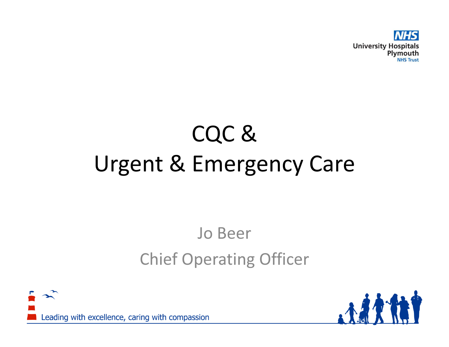

# CQC &Urgent & Emergency Care

## Jo BeerChief Operating Officer



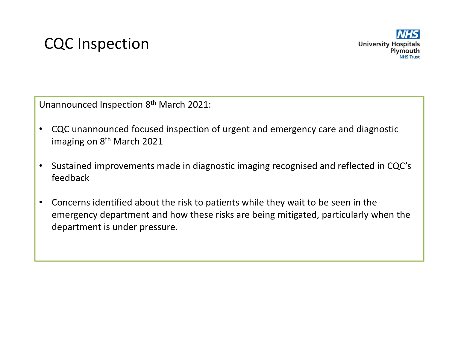#### CQC Inspection

Unannounced Inspection 8th March 2021:

- $\bullet$  CQC unannounced focused inspection of urgent and emergency care and diagnostic imaging on 8<sup>th</sup> March 2021
- $\bullet$  Sustained improvements made in diagnostic imaging recognised and reflected in CQC's feedback
- $\bullet$  Concerns identified about the risk to patients while they wait to be seen in the emergency department and how these risks are being mitigated, particularly when the department is under pressure.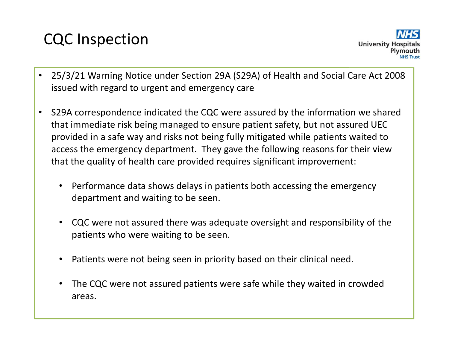#### CQC Inspection



- • 25/3/21 Warning Notice under Section 29A (S29A) of Health and Social Care Act 2008 issued with regard to urgent and emergency care
- • S29A correspondence indicated the CQC were assured by the information we shared that immediate risk being managed to ensure patient safety, but not assured UEC provided in a safe way and risks not being fully mitigated while patients waited to access the emergency department. They gave the following reasons for their view that the quality of health care provided requires significant improvement:
	- • Performance data shows delays in patients both accessing the emergency department and waiting to be seen.
	- • CQC were not assured there was adequate oversight and responsibility of the patients who were waiting to be seen.
	- •Patients were not being seen in priority based on their clinical need.
	- • The CQC were not assured patients were safe while they waited in crowded areas.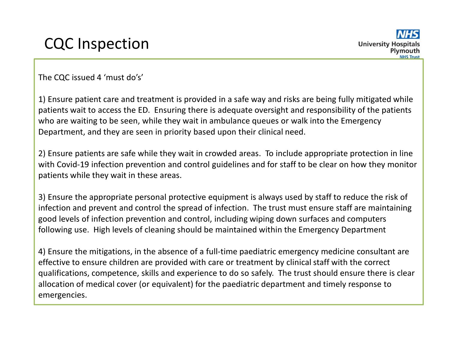The CQC issued 4 'must do's'

1) Ensure patient care and treatment is provided in a safe way and risks are being fully mitigated while patients wait to access the ED. Ensuring there is adequate oversight and responsibility of the patients who are waiting to be seen, while they wait in ambulance queues or walk into the Emergency Department, and they are seen in priority based upon their clinical need.

2) Ensure patients are safe while they wait in crowded areas. To include appropriate protection in line with Covid-19 infection prevention and control guidelines and for staff to be clear on how they monitor patients while they wait in these areas.

3) Ensure the appropriate personal protective equipment is always used by staff to reduce the risk of infection and prevent and control the spread of infection. The trust must ensure staff are maintaining good levels of infection prevention and control, including wiping down surfaces and computers following use. High levels of cleaning should be maintained within the Emergency Department

4) Ensure the mitigations, in the absence of a full-time paediatric emergency medicine consultant are effective to ensure children are provided with care or treatment by clinical staff with the correct qualifications, competence, skills and experience to do so safely. The trust should ensure there is clearallocation of medical cover (or equivalent) for the paediatric department and timely response to emergencies.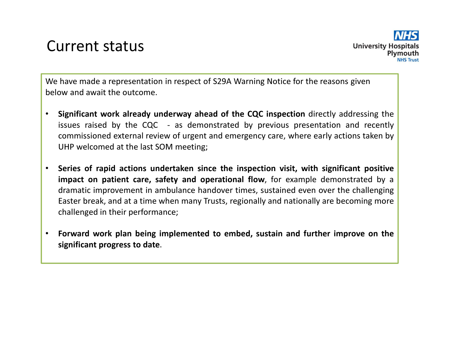#### Current status

We have made a representation in respect of S29A Warning Notice for the reasons given below and await the outcome.

- $\bullet$ **• Significant work already underway ahead of the CQC inspection** directly addressing the issues raised by the CQC - as demonstrated by previous presentation and recently commissioned external review of urgent and emergency care, where early actions taken byUHP welcomed at the last SOM meeting;
- $\bullet$  Series of rapid actions undertaken since the inspection visit, with significant positiveimpact on patient care, safety and operational flow, for example demonstrated by a dramatic improvement in ambulance handover times, sustained even over the challenging Easter break, and at <sup>a</sup> time when many Trusts, regionally and nationally are becoming morechallenged in their performance;
- • Forward work plan being implemented to embed, sustain and further improve on thesignificant progress to date.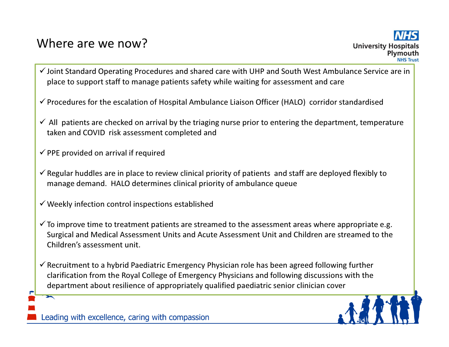#### Where are we now?

- $\checkmark$  Joint Standard Operating Procedures and shared care with UHP and South West Ambulance Service are in place to support staff to manage patients safety while waiting for assessment and care
- $\checkmark$  Procedures for the escalation of Hospital Ambulance Liaison Officer (HALO) corridor standardised
- $\checkmark$  All patients are checked on arrival by the triaging nurse prior to entering the department, temperature  $\checkmark$ taken and COVID risk assessment completed and
- $\checkmark$  PPE provided on arrival if required
- $\checkmark$  Regular huddles are in place to review clinical priority of patients and staff are deployed flexibly to manage demand. HALO determines clinical priority of ambulance queue
- $\checkmark$  Weekly infection control inspections established
- $\checkmark$  To improve time to treatment patients are streamed to the assessment areas where appropriate e.g. Surgical and Medical Assessment Units and Acute Assessment Unit and Children are streamed to the Children's assessment unit.
- $\checkmark$  Recruitment to a hybrid Paediatric Emergency Physician role has been agreed following further clarification from the Royal College of Emergency Physicians and following discussions with the department about resilience of appropriately qualified paediatric senior clinician cover



Leading with excellence, caring with compassion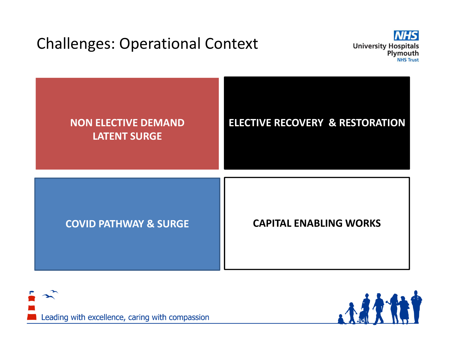#### Challenges: Operational Context







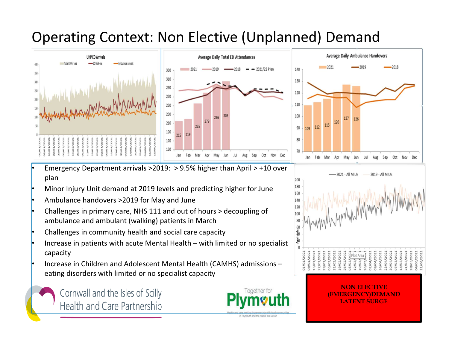#### Operating Context: Non Elective (Unplanned) Demand





-2021 - All MIUs

- • Emergency Department arrivals >2019: > 9.5% higher than April > +10 over plan
- •Minor Injury Unit demand at 2019 levels and predicting higher for June
- •Ambulance handovers >2019 for May and June
- Challenges in primary care, NHS 111 and out of hours > decoupling of •ambulance and ambulant (walking) patients in March
- •Challenges in community health and social care capacity
- • Increase in patients with acute Mental Health – with limited or no specialist capacity
- • Increase in Children and Adolescent Mental Health (CAMHS) admissions –eating disorders with limited or no specialist capacity

Cornwall and the Isles of Scilly Health and Care Partnership



in Plymouth and the rest of the Devon



2019 - All MIUs

NON ELECTIVE (EMERGENCY)DEMANDLATENT SURGE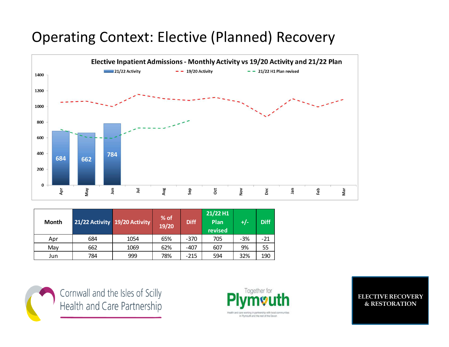#### Operating Context: Elective (Planned) Recovery



| Month |     | 21/22 Activity 19/20 Activity | % of<br>19/20 | <b>Diff</b> | $21/22$ H1<br>Plan<br>revised | +/-   | <b>Diff</b> |
|-------|-----|-------------------------------|---------------|-------------|-------------------------------|-------|-------------|
| Apr   | 684 | 1054                          | 65%           | $-370$      | 705                           | $-3%$ | $-21$       |
| May   | 662 | 1069                          | 62%           | $-407$      | 607                           | 9%    | 55          |
| Jun   | 784 | 999                           | 78%           | $-215$      | 594                           | 32%   | 190         |



Cornwall and the Isles of Scilly<br>Health and Care Partnership



ELECTIVE RECOVERY & RESTORATION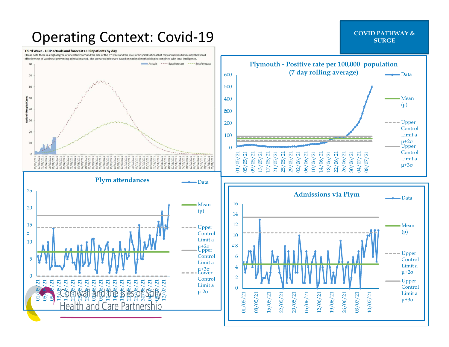#### Operating Context: Covid-19

#### Third Wave - UHP actuals and forecast C19 inpatients by day

Please note there is a high degree of uncertainty around the size of the 3<sup>rd</sup> wave and the level of hospitalisations that may occur (herd immunity threshold, effectiveness of vaccine at preventing admissions etc). The scenarios below are based on national methodologies combined with local intelligence.





### SURGE THE SURGE SURGE